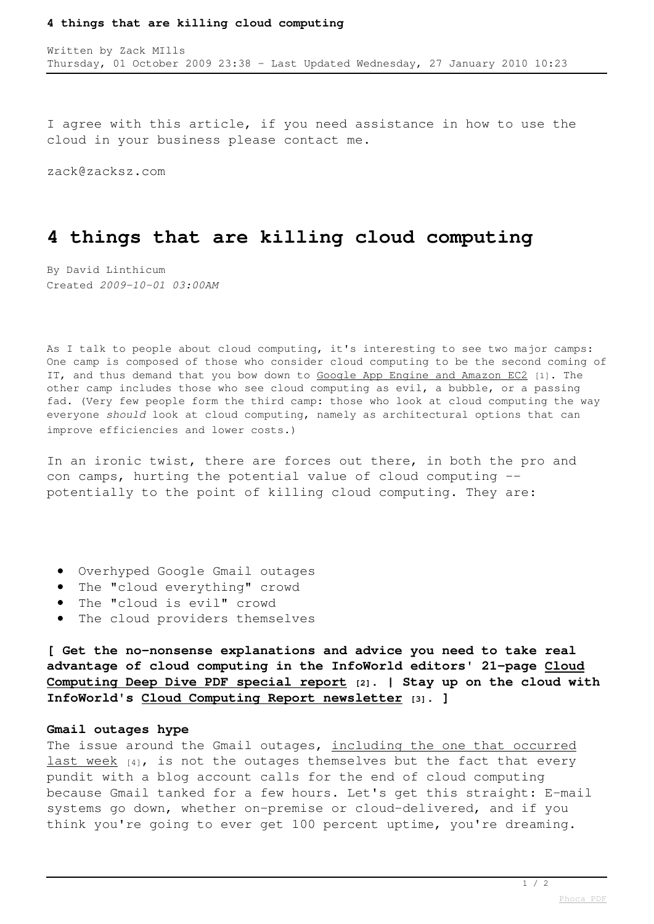#### **4 things that are killing cloud computing**

I agree with this article, if you need assistance in how to use the cloud in your business please contact me.

zack@zacksz.com

# **4 things that are killing cloud computing**

By David Linthicum Created *2009-10-01 03:00AM*

As I talk to people about cloud computing, it's interesting to see two major camps: One camp is composed of those who consider cloud computing to be the second coming of IT, and thus demand that you bow down to [Google App Engine and Amazon EC2](http://www.infoworld.com/d/cloud-computing/cloud-versus-cloud-guided-tour-amazon-google-appnexus-and-gogrid-122) [1]. The other camp includes those who see cloud computing as evil, a bubble, or a passing fad. (Very few people form the third camp: those who look at cloud computing the way everyone *should* look at cloud computing, namely as architectural options that can improve efficiencies and lower costs.)

In an ironic twist, there are forces out there, in both the pro and con camps, hurting the potential value of cloud computing - potentially to the point of killing cloud computing. They are:

- Overhyped Google Gmail outages
- The "cloud everything" crowd
- The "cloud is evil" crowd
- The cloud providers themselves

**[ Get the no-nonsense explanations and advice you need to take real advantage of cloud computing in the InfoWorld editors' 21-page [Cloud](http://www.infoworld.com/cloud-deepdive?source=fssr) [Computing Deep Dive PDF special report](http://www.infoworld.com/cloud-deepdive?source=fssr) [2]. | Stay up on the cloud with InfoWorld's [Cloud Computing Report newsletter](http://www.infoworld.com/newsletters/subscribe?showlist=infoworld_cloud_computing&source=fssr) [3]. ]**

### **Gmail outages hype**

The issue around the Gmail outages, [including the one that occurred](http://www.infoworld.com/d/cloud-computing/googles-gmail-suffers-another-disruption-158) [last week](http://www.infoworld.com/d/cloud-computing/googles-gmail-suffers-another-disruption-158) [4], is not the outages themselves but the fact that every pundit with a blog account calls for the end of cloud computing because Gmail tanked for a few hours. Let's get this straight: E-mail systems go down, whether on-premise or cloud-delivered, and if you think you're going to ever get 100 percent uptime, you're dreaming.